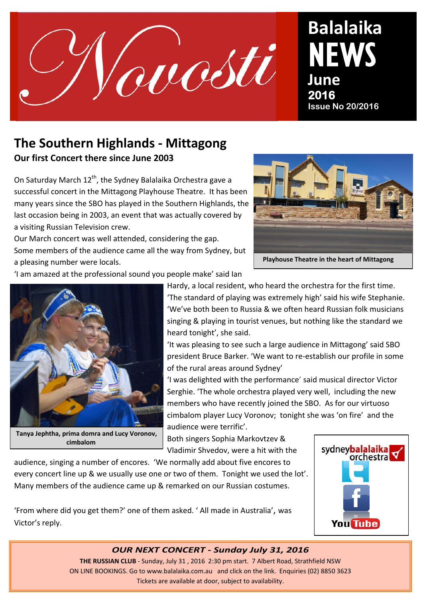

# **Balalaika**  NEWS **June 2016**<br>Issue No 20/2016

## **The Southern Highlands - Mittagong Our first Concert there since June 2003**

On Saturday March  $12^{th}$ , the Sydney Balalaika Orchestra gave a successful concert in the Mittagong Playhouse Theatre. It has been many years since the SBO has played in the Southern Highlands, the last occasion being in 2003, an event that was actually covered by a visiting Russian Television crew.

Our March concert was well attended, considering the gap. Some members of the audience came all the way from Sydney, but a pleasing number were locals.



**Playhouse Theatre in the heart of Mittagong**

'I am amazed at the professional sound you people make' said Ian



**Tanya Jephtha, prima domra and Lucy Voronov, cimbalom**

Hardy, a local resident, who heard the orchestra for the first time. 'The standard of playing was extremely high' said his wife Stephanie. 'We've both been to Russia & we often heard Russian folk musicians singing & playing in tourist venues, but nothing like the standard we heard tonight', she said.

'It was pleasing to see such a large audience in Mittagong' said SBO president Bruce Barker. 'We want to re-establish our profile in some of the rural areas around Sydney'

'I was delighted with the performance' said musical director Victor Serghie. 'The whole orchestra played very well, including the new members who have recently joined the SBO. As for our virtuoso cimbalom player Lucy Voronov; tonight she was 'on fire' and the audience were terrific'.

Both singers Sophia Markovtzev & Vladimir Shvedov, were a hit with the

audience, singing a number of encores. 'We normally add about five encores to every concert line up & we usually use one or two of them. Tonight we used the lot'. Many members of the audience came up & remarked on our Russian costumes.

'From where did you get them?' one of them asked. ' All made in Australia', was Victor's reply.



### *OUR NEXT CONCERT - Sunday July 31, 2016*

**THE RUSSIAN CLUB** - Sunday, July 31 , 2016 2:30 pm start. 7 Albert Road, Strathfield NSW ON LINE BOOKINGS. Go to www.balalaika.com.au and click on the link. Enquiries (02) 8850 3623 Tickets are available at door, subject to availability.